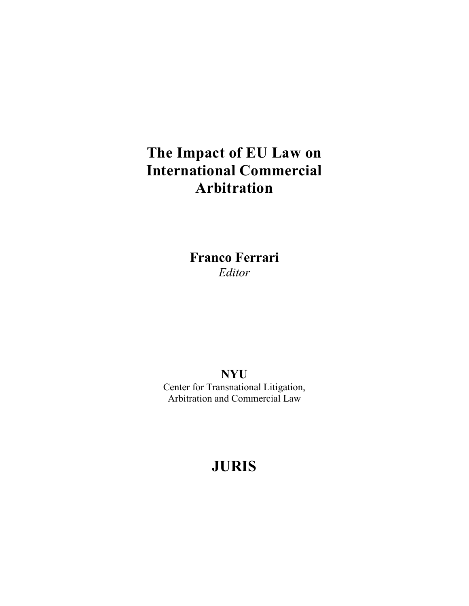# **The Impact of EU Law on International Commercial Arbitration**

**Franco Ferrari**  *Editor* 

**NYU**  Center for Transnational Litigation, Arbitration and Commercial Law

# **JURIS**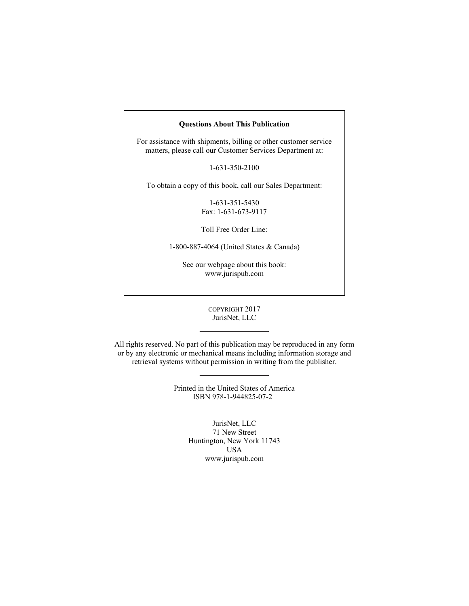#### **Questions About This Publication**

For assistance with shipments, billing or other customer service matters, please call our Customer Services Department at:

1-631-350-2100

To obtain a copy of this book, call our Sales Department:

1-631-351-5430 Fax: 1-631-673-9117

Toll Free Order Line:

1-800-887-4064 (United States & Canada)

See our webpage about this book: www.jurispub.com

#### COPYRIGHT 2017 JurisNet, LLC

All rights reserved. No part of this publication may be reproduced in any form or by any electronic or mechanical means including information storage and retrieval systems without permission in writing from the publisher.

> Printed in the United States of America ISBN 978-1-944825-07-2

> > JurisNet, LLC 71 New Street Huntington, New York 11743 USA www.jurispub.com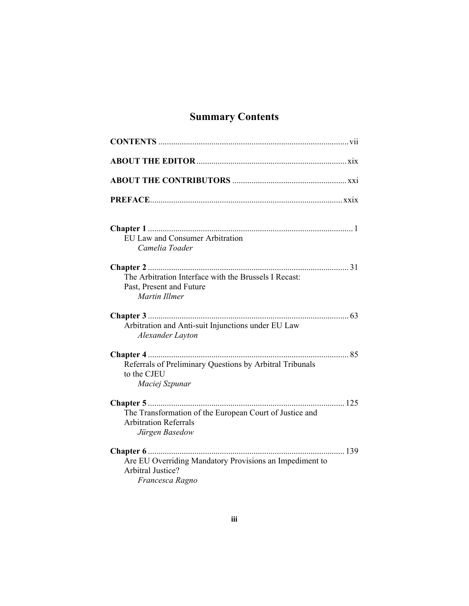## **Summary Contents**

| <b>EU Law and Consumer Arbitration</b><br>Camelia Toader                                                  |
|-----------------------------------------------------------------------------------------------------------|
|                                                                                                           |
| The Arbitration Interface with the Brussels I Recast:<br>Past, Present and Future<br>Martin Illmer        |
| Arbitration and Anti-suit Injunctions under EU Law<br>Alexander Layton                                    |
|                                                                                                           |
| Referrals of Preliminary Questions by Arbitral Tribunals<br>to the CJEU<br>Maciej Szpunar                 |
| The Transformation of the European Court of Justice and<br><b>Arbitration Referrals</b><br>Jürgen Basedow |
|                                                                                                           |
| Are EU Overriding Mandatory Provisions an Impediment to<br><b>Arbitral Justice?</b><br>Francesca Ragno    |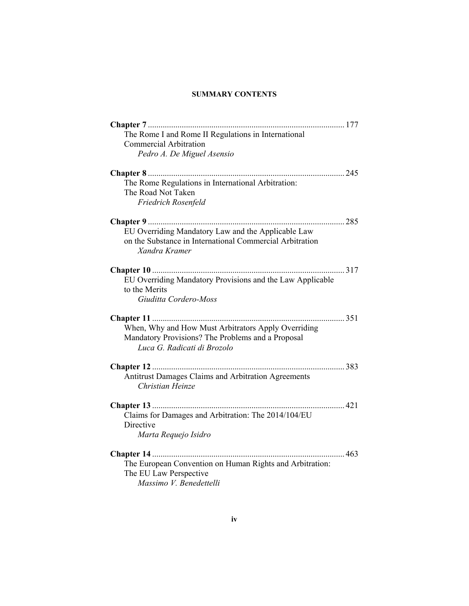#### **SUMMARY CONTENTS**

| The Rome I and Rome II Regulations in International       |
|-----------------------------------------------------------|
| <b>Commercial Arbitration</b>                             |
| Pedro A. De Miguel Asensio                                |
|                                                           |
| The Rome Regulations in International Arbitration:        |
| The Road Not Taken                                        |
| Friedrich Rosenfeld                                       |
|                                                           |
| EU Overriding Mandatory Law and the Applicable Law        |
| on the Substance in International Commercial Arbitration  |
| Xandra Kramer                                             |
|                                                           |
| EU Overriding Mandatory Provisions and the Law Applicable |
| to the Merits                                             |
| Giuditta Cordero-Moss                                     |
|                                                           |
| When, Why and How Must Arbitrators Apply Overriding       |
| Mandatory Provisions? The Problems and a Proposal         |
| Luca G. Radicati di Brozolo                               |
|                                                           |
| Antitrust Damages Claims and Arbitration Agreements       |
| Christian Heinze                                          |
|                                                           |
| Claims for Damages and Arbitration: The 2014/104/EU       |
| Directive                                                 |
| Marta Requejo Isidro                                      |
|                                                           |
| The European Convention on Human Rights and Arbitration:  |
| The EU Law Perspective                                    |
| Massimo V. Benedettelli                                   |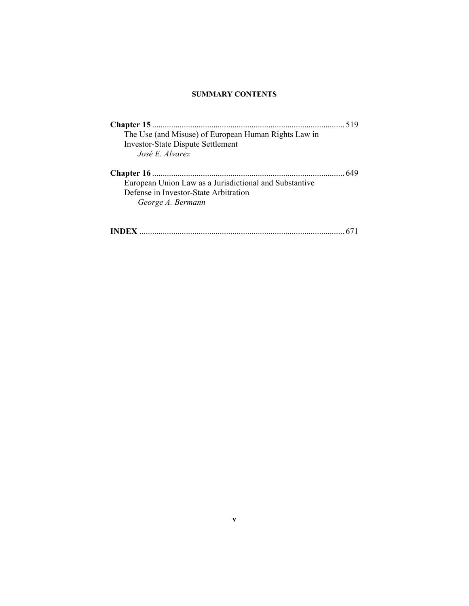#### **SUMMARY CONTENTS**

|                                                        | 519 |
|--------------------------------------------------------|-----|
| The Use (and Misuse) of European Human Rights Law in   |     |
| <b>Investor-State Dispute Settlement</b>               |     |
| José E. Alvarez                                        |     |
|                                                        | 649 |
| European Union Law as a Jurisdictional and Substantive |     |
| Defense in Investor-State Arbitration                  |     |
| George A. Bermann                                      |     |
|                                                        |     |
|                                                        |     |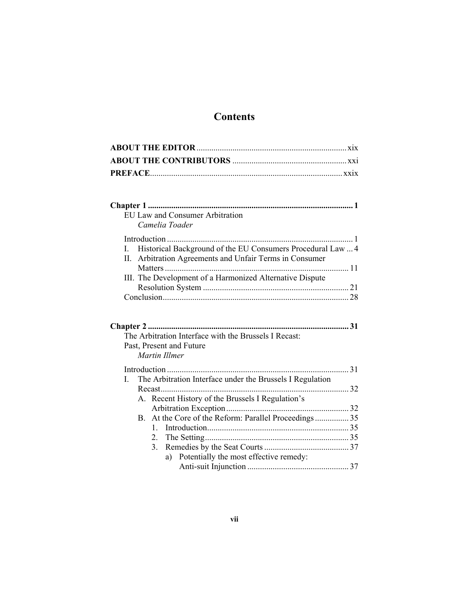## **Contents**

| <b>EU Law and Consumer Arbitration</b>                                                                                                 |  |
|----------------------------------------------------------------------------------------------------------------------------------------|--|
| Camelia Toader                                                                                                                         |  |
|                                                                                                                                        |  |
| Historical Background of the EU Consumers Procedural Law  4<br>$\mathbf{I}$<br>II. Arbitration Agreements and Unfair Terms in Consumer |  |
|                                                                                                                                        |  |
| III. The Development of a Harmonized Alternative Dispute                                                                               |  |
|                                                                                                                                        |  |
| The Arbitration Interface with the Brussels I Recast:<br>Past, Present and Future<br>Martin Illmer                                     |  |
|                                                                                                                                        |  |
| The Arbitration Interface under the Brussels I Regulation<br>$\overline{L}$                                                            |  |
|                                                                                                                                        |  |
| A. Recent History of the Brussels I Regulation's                                                                                       |  |
|                                                                                                                                        |  |
| B. At the Core of the Reform: Parallel Proceedings 35                                                                                  |  |
| $2_{-}$                                                                                                                                |  |
| 3.                                                                                                                                     |  |
| a) Potentially the most effective remedy:                                                                                              |  |
|                                                                                                                                        |  |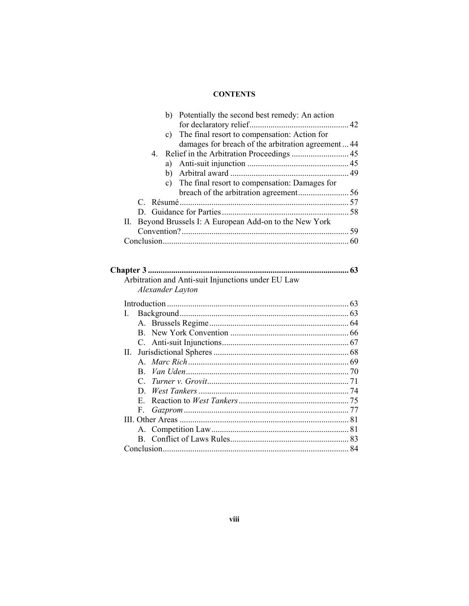| b) Potentially the second best remedy: An action         |  |
|----------------------------------------------------------|--|
|                                                          |  |
| c) The final resort to compensation: Action for          |  |
| damages for breach of the arbitration agreement44        |  |
|                                                          |  |
|                                                          |  |
|                                                          |  |
| c) The final resort to compensation: Damages for         |  |
|                                                          |  |
|                                                          |  |
|                                                          |  |
| II. Beyond Brussels I: A European Add-on to the New York |  |
|                                                          |  |
|                                                          |  |

|                                                    | 63 |
|----------------------------------------------------|----|
| Arbitration and Anti-suit Injunctions under EU Law |    |
| Alexander Layton                                   |    |
|                                                    |    |
| L                                                  |    |
|                                                    |    |
|                                                    |    |
|                                                    |    |
| Н.                                                 |    |
|                                                    |    |
|                                                    |    |
|                                                    |    |
|                                                    |    |
|                                                    |    |
| F.                                                 |    |
|                                                    |    |
|                                                    |    |
|                                                    |    |
|                                                    | 84 |
|                                                    |    |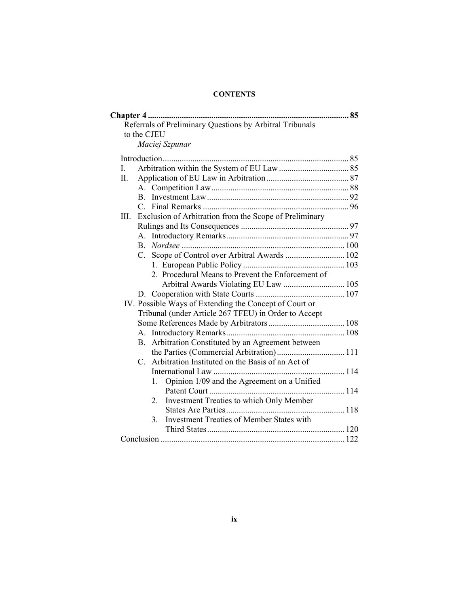|      | <b>Chapter 4 </b>                                           |  |
|------|-------------------------------------------------------------|--|
|      | Referrals of Preliminary Questions by Arbitral Tribunals    |  |
|      | to the CJEU                                                 |  |
|      | Maciej Szpunar                                              |  |
|      |                                                             |  |
| L.   |                                                             |  |
| Π.   |                                                             |  |
|      | $A_{-}$                                                     |  |
|      | B.                                                          |  |
|      |                                                             |  |
| III. | Exclusion of Arbitration from the Scope of Preliminary      |  |
|      |                                                             |  |
|      |                                                             |  |
|      | B.                                                          |  |
|      |                                                             |  |
|      |                                                             |  |
|      | 2. Procedural Means to Prevent the Enforcement of           |  |
|      | Arbitral Awards Violating EU Law  105                       |  |
|      |                                                             |  |
|      | IV. Possible Ways of Extending the Concept of Court or      |  |
|      | Tribunal (under Article 267 TFEU) in Order to Accept        |  |
|      |                                                             |  |
|      |                                                             |  |
|      | Arbitration Constituted by an Agreement between<br>$B_{-}$  |  |
|      |                                                             |  |
|      | C. Arbitration Instituted on the Basis of an Act of         |  |
|      |                                                             |  |
|      | Opinion 1/09 and the Agreement on a Unified<br>$1_{-}$      |  |
|      |                                                             |  |
|      | Investment Treaties to which Only Member<br>2               |  |
|      |                                                             |  |
|      | <b>Investment Treaties of Member States with</b><br>$3_{-}$ |  |
|      |                                                             |  |
|      |                                                             |  |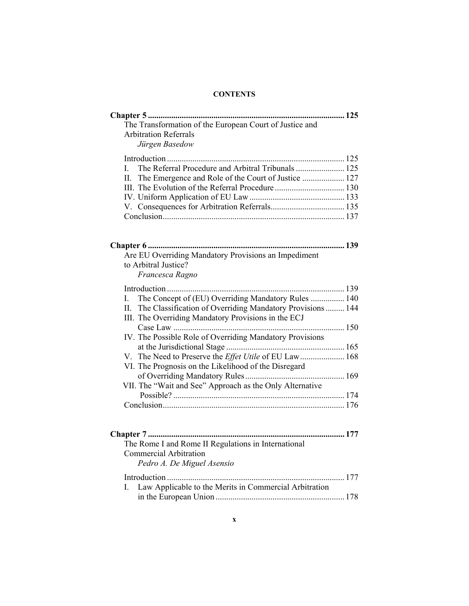| The Transformation of the European Court of Justice and                      |
|------------------------------------------------------------------------------|
| <b>Arbitration Referrals</b>                                                 |
| Jürgen Basedow                                                               |
|                                                                              |
|                                                                              |
| $\mathbf{I}$                                                                 |
| II.<br>The Emergence and Role of the Court of Justice  127                   |
|                                                                              |
|                                                                              |
|                                                                              |
|                                                                              |
| Are EU Overriding Mandatory Provisions an Impediment<br>to Arbitral Justice? |
| Francesca Ragno                                                              |
|                                                                              |
| The Concept of (EU) Overriding Mandatory Rules  140<br>$I_{\cdot}$           |
| II.<br>The Classification of Overriding Mandatory Provisions  144            |
| III. The Overriding Mandatory Provisions in the ECJ                          |
|                                                                              |
| IV. The Possible Role of Overriding Mandatory Provisions                     |
|                                                                              |
| The Need to Preserve the Effet Utile of EU Law 168<br>V.                     |
| VI. The Prognosis on the Likelihood of the Disregard                         |
|                                                                              |
| VII. The "Wait and See" Approach as the Only Alternative                     |
|                                                                              |
|                                                                              |
|                                                                              |
|                                                                              |
| The Rome I and Rome II Regulations in International                          |
| <b>Commercial Arbitration</b>                                                |
|                                                                              |
| Pedro A. De Miguel Asensio                                                   |
|                                                                              |
| Law Applicable to the Merits in Commercial Arbitration<br>L                  |
|                                                                              |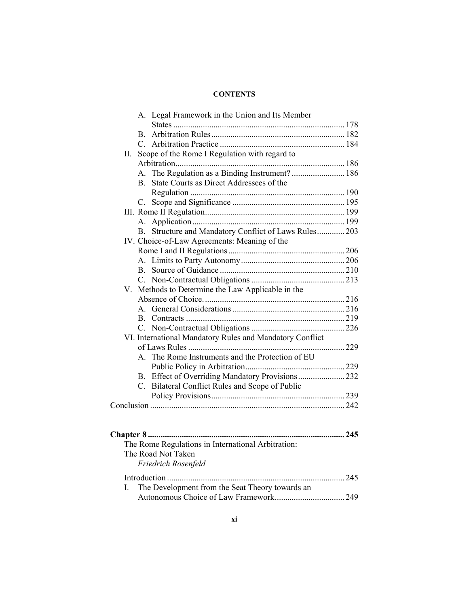|    |                | A. Legal Framework in the Union and Its Member           |  |
|----|----------------|----------------------------------------------------------|--|
|    |                |                                                          |  |
|    |                |                                                          |  |
|    |                |                                                          |  |
| П. |                | Scope of the Rome I Regulation with regard to            |  |
|    |                |                                                          |  |
|    | $\mathsf{A}$   | The Regulation as a Binding Instrument?  186             |  |
|    | B.             | State Courts as Direct Addressees of the                 |  |
|    |                |                                                          |  |
|    |                |                                                          |  |
|    |                |                                                          |  |
|    |                |                                                          |  |
|    | $\mathbf{B}$ . | Structure and Mandatory Conflict of Laws Rules 203       |  |
|    |                | IV. Choice-of-Law Agreements: Meaning of the             |  |
|    |                |                                                          |  |
|    |                |                                                          |  |
|    |                |                                                          |  |
|    | $C_{-}$        |                                                          |  |
| V. |                | Methods to Determine the Law Applicable in the           |  |
|    |                |                                                          |  |
|    | $\mathsf{A}$   |                                                          |  |
|    |                |                                                          |  |
|    |                |                                                          |  |
|    |                | VI. International Mandatory Rules and Mandatory Conflict |  |
|    |                |                                                          |  |
|    | $\mathsf{A}$   | The Rome Instruments and the Protection of EU            |  |
|    |                |                                                          |  |
|    |                |                                                          |  |
|    |                | C. Bilateral Conflict Rules and Scope of Public          |  |
|    |                |                                                          |  |
|    |                |                                                          |  |
|    |                |                                                          |  |
|    |                |                                                          |  |
|    |                |                                                          |  |
|    |                | The Rome Regulations in International Arbitration:       |  |
|    |                | The Road Not Taken                                       |  |
|    |                | Friedrich Rosenfeld                                      |  |
|    |                |                                                          |  |
| L  |                | The Development from the Seat Theory towards an          |  |
|    |                |                                                          |  |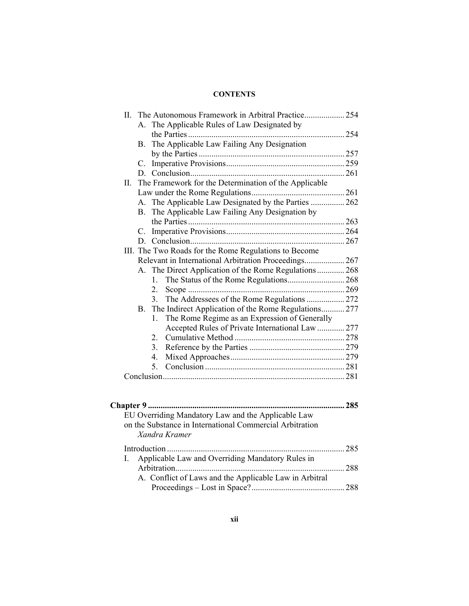| A. The Applicable Rules of Law Designated by<br>The Applicable Law Failing Any Designation<br>B.<br>$C_{-}$<br>D.<br>The Framework for the Determination of the Applicable<br>A. The Applicable Law Designated by the Parties  262<br>B. The Applicable Law Failing Any Designation by<br>C.<br>III. The Two Roads for the Rome Regulations to Become<br>Relevant in International Arbitration Proceedings 267<br>A. The Direct Application of the Rome Regulations  268<br>$1_{-}$<br>$2_{-}$ |                                                    |
|------------------------------------------------------------------------------------------------------------------------------------------------------------------------------------------------------------------------------------------------------------------------------------------------------------------------------------------------------------------------------------------------------------------------------------------------------------------------------------------------|----------------------------------------------------|
|                                                                                                                                                                                                                                                                                                                                                                                                                                                                                                |                                                    |
|                                                                                                                                                                                                                                                                                                                                                                                                                                                                                                |                                                    |
|                                                                                                                                                                                                                                                                                                                                                                                                                                                                                                |                                                    |
|                                                                                                                                                                                                                                                                                                                                                                                                                                                                                                |                                                    |
|                                                                                                                                                                                                                                                                                                                                                                                                                                                                                                |                                                    |
|                                                                                                                                                                                                                                                                                                                                                                                                                                                                                                |                                                    |
|                                                                                                                                                                                                                                                                                                                                                                                                                                                                                                |                                                    |
|                                                                                                                                                                                                                                                                                                                                                                                                                                                                                                |                                                    |
|                                                                                                                                                                                                                                                                                                                                                                                                                                                                                                |                                                    |
|                                                                                                                                                                                                                                                                                                                                                                                                                                                                                                |                                                    |
|                                                                                                                                                                                                                                                                                                                                                                                                                                                                                                |                                                    |
|                                                                                                                                                                                                                                                                                                                                                                                                                                                                                                |                                                    |
|                                                                                                                                                                                                                                                                                                                                                                                                                                                                                                |                                                    |
|                                                                                                                                                                                                                                                                                                                                                                                                                                                                                                |                                                    |
|                                                                                                                                                                                                                                                                                                                                                                                                                                                                                                |                                                    |
|                                                                                                                                                                                                                                                                                                                                                                                                                                                                                                |                                                    |
|                                                                                                                                                                                                                                                                                                                                                                                                                                                                                                |                                                    |
|                                                                                                                                                                                                                                                                                                                                                                                                                                                                                                |                                                    |
| 3.                                                                                                                                                                                                                                                                                                                                                                                                                                                                                             |                                                    |
| B. The Indirect Application of the Rome Regulations 277                                                                                                                                                                                                                                                                                                                                                                                                                                        |                                                    |
| The Rome Regime as an Expression of Generally<br>$1_{-}$                                                                                                                                                                                                                                                                                                                                                                                                                                       |                                                    |
| Accepted Rules of Private International Law  277                                                                                                                                                                                                                                                                                                                                                                                                                                               |                                                    |
| $2_{-}$                                                                                                                                                                                                                                                                                                                                                                                                                                                                                        |                                                    |
| 3.                                                                                                                                                                                                                                                                                                                                                                                                                                                                                             |                                                    |
| 4.                                                                                                                                                                                                                                                                                                                                                                                                                                                                                             |                                                    |
| 5.                                                                                                                                                                                                                                                                                                                                                                                                                                                                                             |                                                    |
|                                                                                                                                                                                                                                                                                                                                                                                                                                                                                                |                                                    |
|                                                                                                                                                                                                                                                                                                                                                                                                                                                                                                |                                                    |
|                                                                                                                                                                                                                                                                                                                                                                                                                                                                                                | .285                                               |
|                                                                                                                                                                                                                                                                                                                                                                                                                                                                                                | EU Overriding Mandatory Law and the Applicable Law |

| on the Substance in International Commercial Arbitration<br>Xandra Kramer |  |
|---------------------------------------------------------------------------|--|
|                                                                           |  |
| I. Applicable Law and Overriding Mandatory Rules in                       |  |
| A. Conflict of Laws and the Applicable Law in Arbitral                    |  |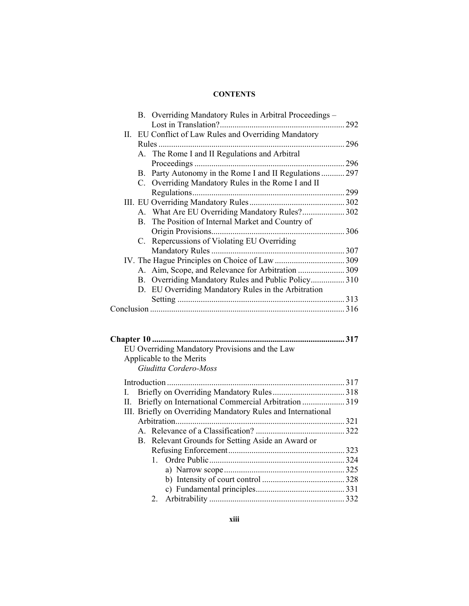|  | B. Overriding Mandatory Rules in Arbitral Proceedings - |       |
|--|---------------------------------------------------------|-------|
|  |                                                         |       |
|  | II. EU Conflict of Law Rules and Overriding Mandatory   |       |
|  |                                                         | 296   |
|  | A. The Rome I and II Regulations and Arbitral           |       |
|  | Proceedings                                             | 296   |
|  | B. Party Autonomy in the Rome I and II Regulations  297 |       |
|  | C. Overriding Mandatory Rules in the Rome I and II      |       |
|  |                                                         |       |
|  |                                                         |       |
|  | A. What Are EU Overriding Mandatory Rules? 302          |       |
|  | B. The Position of Internal Market and Country of       |       |
|  | Origin Provisions                                       | . 306 |
|  | C. Repercussions of Violating EU Overriding             |       |
|  |                                                         |       |
|  |                                                         |       |
|  |                                                         |       |
|  | B. Overriding Mandatory Rules and Public Policy310      |       |
|  | D. EU Overriding Mandatory Rules in the Arbitration     |       |
|  |                                                         |       |
|  |                                                         |       |
|  |                                                         |       |

| EU Overriding Mandatory Provisions and the Law                                                                                                                                                                                                                                                                              |  |
|-----------------------------------------------------------------------------------------------------------------------------------------------------------------------------------------------------------------------------------------------------------------------------------------------------------------------------|--|
| Applicable to the Merits                                                                                                                                                                                                                                                                                                    |  |
| Giuditta Cordero-Moss                                                                                                                                                                                                                                                                                                       |  |
|                                                                                                                                                                                                                                                                                                                             |  |
|                                                                                                                                                                                                                                                                                                                             |  |
| II. Briefly on International Commercial Arbitration 319                                                                                                                                                                                                                                                                     |  |
| $\mathbf{H}\mathbf{I}$ . $\mathbf{D}_{n+1}$ , $\mathbf{D}_{n+1}$ , $\mathbf{D}_{n+1}$ , $\mathbf{D}_{n+1}$ , $\mathbf{D}_{n+1}$ , $\mathbf{D}_{n+1}$ , $\mathbf{D}_{n+1}$ , $\mathbf{D}_{n+1}$ , $\mathbf{D}_{n+1}$ , $\mathbf{D}_{n+1}$ , $\mathbf{D}_{n+1}$ , $\mathbf{D}_{n+1}$ , $\mathbf{D}_{n+1}$ , $\mathbf{D}_{n+1$ |  |

| III. Briefly on Overriding Mandatory Rules and International |
|--------------------------------------------------------------|
|                                                              |
|                                                              |
| B. Relevant Grounds for Setting Aside an Award or            |
|                                                              |
|                                                              |
|                                                              |
|                                                              |
|                                                              |
|                                                              |
|                                                              |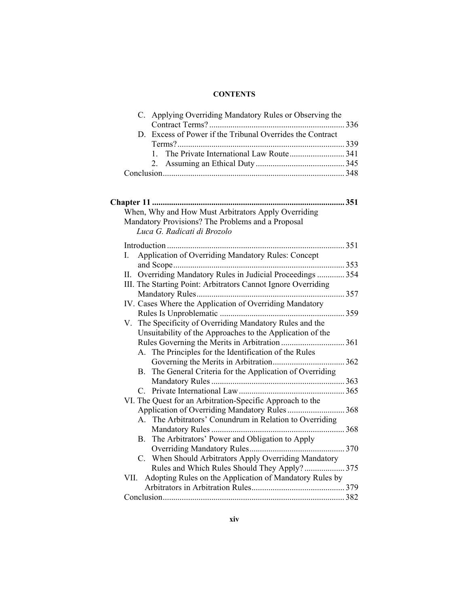| C. Applying Overriding Mandatory Rules or Observing the             |  |
|---------------------------------------------------------------------|--|
|                                                                     |  |
| Excess of Power if the Tribunal Overrides the Contract<br>D.        |  |
|                                                                     |  |
| $\mathbf{1}$                                                        |  |
|                                                                     |  |
|                                                                     |  |
|                                                                     |  |
|                                                                     |  |
|                                                                     |  |
| When, Why and How Must Arbitrators Apply Overriding                 |  |
| Mandatory Provisions? The Problems and a Proposal                   |  |
| Luca G. Radicati di Brozolo                                         |  |
|                                                                     |  |
| Application of Overriding Mandatory Rules: Concept<br>I.            |  |
|                                                                     |  |
| Overriding Mandatory Rules in Judicial Proceedings  354             |  |
| Н.<br>III. The Starting Point: Arbitrators Cannot Ignore Overriding |  |
|                                                                     |  |
|                                                                     |  |
| IV. Cases Where the Application of Overriding Mandatory             |  |
|                                                                     |  |
| V. The Specificity of Overriding Mandatory Rules and the            |  |
| Unsuitability of the Approaches to the Application of the           |  |
| Rules Governing the Merits in Arbitration  361                      |  |
| A. The Principles for the Identification of the Rules               |  |
|                                                                     |  |
| B. The General Criteria for the Application of Overriding           |  |
|                                                                     |  |
|                                                                     |  |
| VI. The Quest for an Arbitration-Specific Approach to the           |  |
| Application of Overriding Mandatory Rules  368                      |  |
| The Arbitrators' Conundrum in Relation to Overriding<br>$A_{-}$     |  |
|                                                                     |  |
| The Arbitrators' Power and Obligation to Apply<br>В.                |  |
|                                                                     |  |
| C. When Should Arbitrators Apply Overriding Mandatory               |  |
| Rules and Which Rules Should They Apply? 375                        |  |
| Adopting Rules on the Application of Mandatory Rules by<br>VII.     |  |
|                                                                     |  |
|                                                                     |  |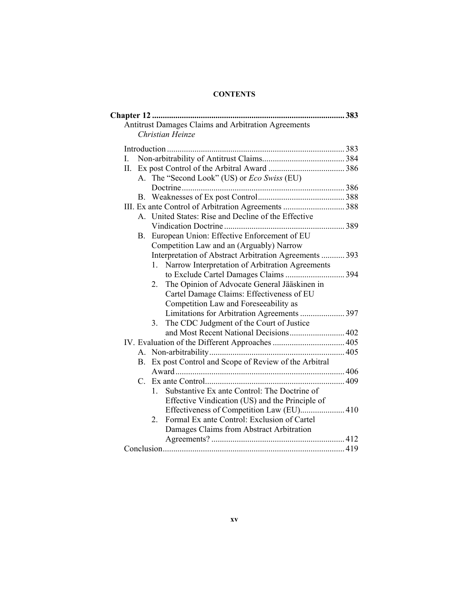|     |    | Antitrust Damages Claims and Arbitration Agreements            |  |
|-----|----|----------------------------------------------------------------|--|
|     |    | Christian Heinze                                               |  |
|     |    |                                                                |  |
| I.  |    |                                                                |  |
| II. |    |                                                                |  |
|     |    | A. The "Second Look" (US) or <i>Eco Swiss</i> (EU)             |  |
|     |    |                                                                |  |
|     |    |                                                                |  |
|     |    | III. Ex ante Control of Arbitration Agreements  388            |  |
|     |    | A. United States: Rise and Decline of the Effective            |  |
|     |    |                                                                |  |
|     | В. | European Union: Effective Enforcement of EU                    |  |
|     |    | Competition Law and an (Arguably) Narrow                       |  |
|     |    | Interpretation of Abstract Arbitration Agreements  393         |  |
|     |    | Narrow Interpretation of Arbitration Agreements<br>1.          |  |
|     |    |                                                                |  |
|     |    | The Opinion of Advocate General Jääskinen in<br>2.             |  |
|     |    | Cartel Damage Claims: Effectiveness of EU                      |  |
|     |    | Competition Law and Foreseeability as                          |  |
|     |    |                                                                |  |
|     |    | The CDC Judgment of the Court of Justice<br>3.                 |  |
|     |    |                                                                |  |
|     |    |                                                                |  |
|     |    |                                                                |  |
|     | B. | Ex post Control and Scope of Review of the Arbitral            |  |
|     |    |                                                                |  |
|     |    |                                                                |  |
|     |    | Substantive Ex ante Control: The Doctrine of<br>$\mathbf{1}$ . |  |
|     |    | Effective Vindication (US) and the Principle of                |  |
|     |    | Effectiveness of Competition Law (EU) 410                      |  |
|     |    | Formal Ex ante Control: Exclusion of Cartel<br>2               |  |
|     |    | Damages Claims from Abstract Arbitration                       |  |
|     |    |                                                                |  |
|     |    |                                                                |  |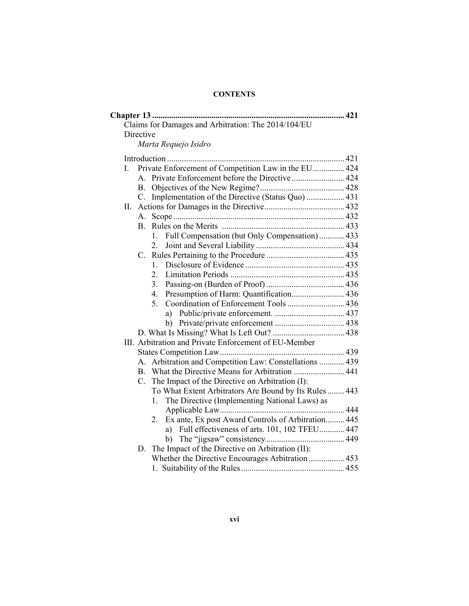|    | Claims for Damages and Arbitration: The 2014/104/EU              |  |
|----|------------------------------------------------------------------|--|
|    | Directive                                                        |  |
|    | Marta Requejo Isidro                                             |  |
|    |                                                                  |  |
| L. | Private Enforcement of Competition Law in the EU 424             |  |
|    |                                                                  |  |
|    | <b>B.</b>                                                        |  |
|    | Implementation of the Directive (Status Quo)  431<br>$C_{\cdot}$ |  |
| Π. |                                                                  |  |
|    | A.                                                               |  |
|    | <b>B.</b>                                                        |  |
|    | Full Compensation (but Only Compensation) 433<br>1.              |  |
|    | 2.                                                               |  |
|    | C.                                                               |  |
|    | $1_{-}$                                                          |  |
|    | 2.                                                               |  |
|    | 3.                                                               |  |
|    | Presumption of Harm: Quantification 436<br>4.                    |  |
|    | 5.<br>Coordination of Enforcement Tools  436                     |  |
|    |                                                                  |  |
|    |                                                                  |  |
|    |                                                                  |  |
|    | III. Arbitration and Private Enforcement of EU-Member            |  |
|    |                                                                  |  |
|    | A. Arbitration and Competition Law: Constellations  439          |  |
|    | B. What the Directive Means for Arbitration  441                 |  |
|    | The Impact of the Directive on Arbitration (I):<br>$C_{\cdot}$   |  |
|    | To What Extent Arbitrators Are Bound by Its Rules  443           |  |
|    | The Directive (Implementing National Laws) as<br>1.              |  |
|    |                                                                  |  |
|    | Ex ante, Ex post Award Controls of Arbitration 445<br>2.         |  |
|    | a) Full effectiveness of arts. 101, 102 TFEU 447                 |  |
|    |                                                                  |  |
|    | D. The Impact of the Directive on Arbitration (II):              |  |
|    | Whether the Directive Encourages Arbitration  453                |  |
|    |                                                                  |  |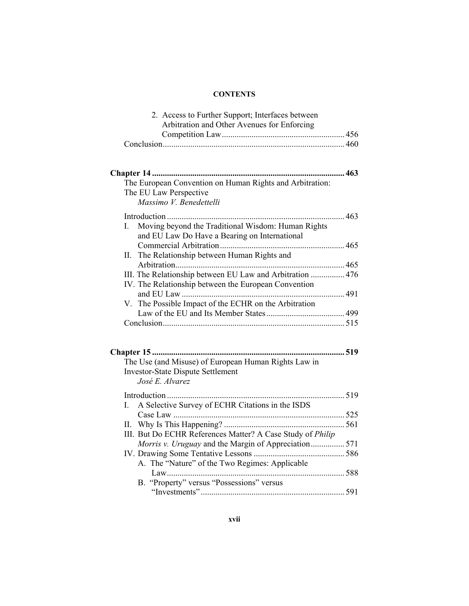| 2. Access to Further Support; Interfaces between           |  |
|------------------------------------------------------------|--|
| Arbitration and Other Avenues for Enforcing                |  |
|                                                            |  |
|                                                            |  |
|                                                            |  |
|                                                            |  |
|                                                            |  |
| The European Convention on Human Rights and Arbitration:   |  |
| The EU Law Perspective                                     |  |
| Massimo V. Benedettelli                                    |  |
|                                                            |  |
| Moving beyond the Traditional Wisdom: Human Rights<br>L    |  |
| and EU Law Do Have a Bearing on International              |  |
|                                                            |  |
| The Relationship between Human Rights and<br>Н.            |  |
|                                                            |  |
| III. The Relationship between EU Law and Arbitration  476  |  |
| IV. The Relationship between the European Convention       |  |
|                                                            |  |
| V. The Possible Impact of the ECHR on the Arbitration      |  |
|                                                            |  |
|                                                            |  |
|                                                            |  |
|                                                            |  |
| <b>Chapter 15 </b><br>519                                  |  |
| The Use (and Misuse) of European Human Rights Law in       |  |
| <b>Investor-State Dispute Settlement</b>                   |  |
| José E. Alvarez                                            |  |
|                                                            |  |
| A Selective Survey of ECHR Citations in the ISDS<br>L      |  |
|                                                            |  |
|                                                            |  |
| III. But Do ECHR References Matter? A Case Study of Philip |  |
| Morris v. Uruguay and the Margin of Appreciation 571       |  |
|                                                            |  |
| A. The "Nature" of the Two Regimes: Applicable             |  |
|                                                            |  |
| B. "Property" versus "Possessions" versus                  |  |
|                                                            |  |